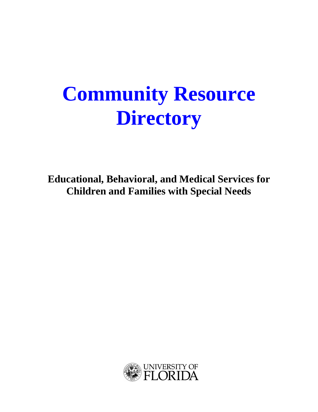# **Community Resource Directory**

**Educational, Behavioral, and Medical Services for Children and Families with Special Needs**

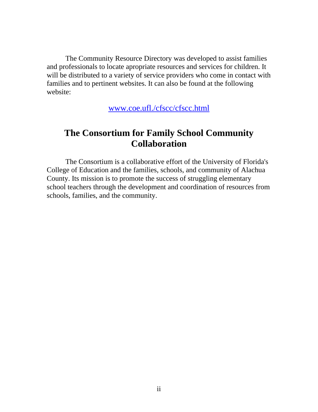The Community Resource Directory was developed to assist families and professionals to locate apropriate resources and services for children. It will be distributed to a variety of service providers who come in contact with families and to pertinent websites. It can also be found at the following website:

www.coe.ufl./cfscc/cfscc.html

# **The Consortium for Family School Community Collaboration**

The Consortium is a collaborative effort of the University of Florida's College of Education and the families, schools, and community of Alachua County. Its mission is to promote the success of struggling elementary school teachers through the development and coordination of resources from schools, families, and the community.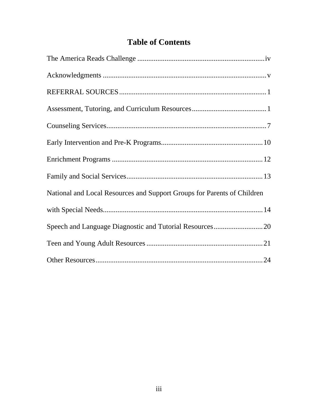# **Table of Contents**

| National and Local Resources and Support Groups for Parents of Children |
|-------------------------------------------------------------------------|
|                                                                         |
| Speech and Language Diagnostic and Tutorial Resources20                 |
|                                                                         |
|                                                                         |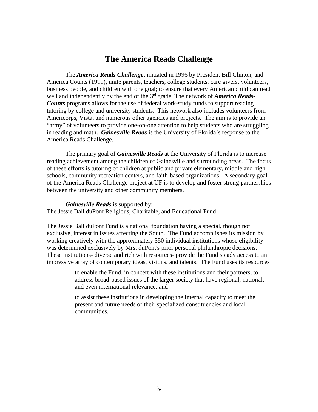# **The America Reads Challenge**

The *America Reads Challenge*, initiated in 1996 by President Bill Clinton, and America Counts (1999), unite parents, teachers, college students, care givers, volunteers, business people, and children with one goal; to ensure that every American child can read well and independently by the end of the 3<sup>rd</sup> grade. The network of *America Reads*-*Counts* programs allows for the use of federal work-study funds to support reading tutoring by college and university students. This network also includes volunteers from Americorps, Vista, and numerous other agencies and projects. The aim is to provide an "army" of volunteers to provide one-on-one attention to help students who are struggling in reading and math. *Gainesville Reads* is the University of Florida's response to the America Reads Challenge.

The primary goal of *Gainesville Reads* at the University of Florida is to increase reading achievement among the children of Gainesville and surrounding areas. The focus of these efforts is tutoring of children at public and private elementary, middle and high schools, community recreation centers, and faith-based organizations. A secondary goal of the America Reads Challenge project at UF is to develop and foster strong partnerships between the university and other community members.

#### *Gainesville Reads* is supported by:

The Jessie Ball duPont Religious, Charitable, and Educational Fund

The Jessie Ball duPont Fund is a national foundation having a special, though not exclusive, interest in issues affecting the South. The Fund accomplishes its mission by working creatively with the approximately 350 individual institutions whose eligibility was determined exclusively by Mrs. duPont's prior personal philanthropic decisions. These institutions- diverse and rich with resources- provide the Fund steady access to an impressive array of contemporary ideas, visions, and talents. The Fund uses its resources

> to enable the Fund, in concert with these institutions and their partners, to address broad-based issues of the larger society that have regional, national, and even international relevance; and

to assist these institutions in developing the internal capacity to meet the present and future needs of their specialized constituencies and local communities.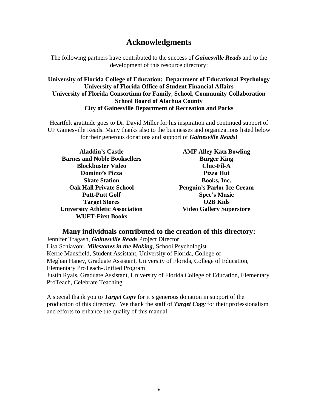# **Acknowledgments**

The following partners have contributed to the success of *Gainesville Reads* and to the development of this resource directory:

#### **University of Florida College of Education: Department of Educational Psychology University of Florida Office of Student Financial Affairs University of Florida Consortium for Family, School, Community Collaboration School Board of Alachua County City of Gainesville Department of Recreation and Parks**

Heartfelt gratitude goes to Dr. David Miller for his inspiration and continued support of UF Gainesville Reads. Many thanks also to the businesses and organizations listed below for their generous donations and support of *Gainesville Reads*!

| <b>Aladdin's Castle</b>                | <b>AMF Alley Katz Bowling</b>     |
|----------------------------------------|-----------------------------------|
| <b>Barnes and Noble Booksellers</b>    | <b>Burger King</b>                |
| <b>Blockbuster Video</b>               | <b>Chic-Fil-A</b>                 |
| Domino's Pizza                         | Pizza Hut                         |
| <b>Skate Station</b>                   | Books, Inc.                       |
| <b>Oak Hall Private School</b>         | <b>Penguin's Parlor Ice Cream</b> |
| <b>Putt-Putt Golf</b>                  | <b>Spec's Music</b>               |
| <b>Target Stores</b>                   | <b>O2B Kids</b>                   |
| <b>University Athletic Association</b> | <b>Video Gallery Superstore</b>   |
| <b>WUFT-First Books</b>                |                                   |

#### **Many individuals contributed to the creation of this directory:**

Jennifer Tragash, *Gainesville Reads* Project Director Lisa Schiavoni, *Milestones in the Making*, School Psychologist Kerrie Mansfield, Student Assistant, University of Florida, College of Meghan Haney, Graduate Assistant, University of Florida, College of Education, Elementary ProTeach-Unified Program Justin Ryals, Graduate Assistant, University of Florida College of Education, Elementary ProTeach, Celebrate Teaching

A special thank you to *Target Copy* for it's generous donation in support of the production of this directory. We thank the staff of *Target Copy* for their professionalism and efforts to enhance the quality of this manual.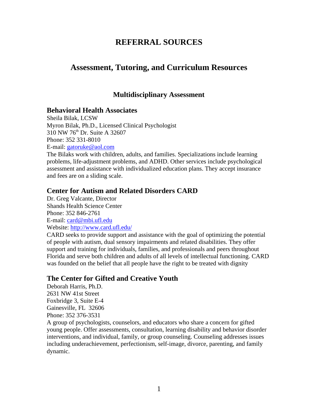# **REFERRAL SOURCES**

# **Assessment, Tutoring, and Curriculum Resources**

## **Multidisciplinary Assessment**

#### **Behavioral Health Associates**

Sheila Bilak, LCSW Myron Bilak, Ph.D., Licensed Clinical Psychologist 310 NW 76th Dr. Suite A 32607 Phone: 352 331-8010 E-mail: gatoruke@aol.com

The Bilaks work with children, adults, and families. Specializations include learning problems, life-adjustment problems, and ADHD. Other services include psychological assessment and assistance with individualized education plans. They accept insurance and fees are on a sliding scale.

#### **Center for Autism and Related Disorders CARD**

Dr. Greg Valcante, Director Shands Health Science Center Phone: 352 846-2761 E-mail: card@mbi.ufl.edu Website: http://www.card.ufl.edu/

CARD seeks to provide support and assistance with the goal of optimizing the potential of people with autism, dual sensory impairments and related disabilities. They offer support and training for individuals, families, and professionals and peers throughout Florida and serve both children and adults of all levels of intellectual functioning. CARD was founded on the belief that all people have the right to be treated with dignity

# **The Center for Gifted and Creative Youth**

Deborah Harris, Ph.D. 2631 NW 41st Street Foxbridge 3, Suite E-4 Gainesville, FL 32606 Phone: 352 376-3531

A group of psychologists, counselors, and educators who share a concern for gifted young people. Offer assessments, consultation, learning disability and behavior disorder interventions, and individual, family, or group counseling. Counseling addresses issues including underachievement, perfectionism, self-image, divorce, parenting, and family dynamic.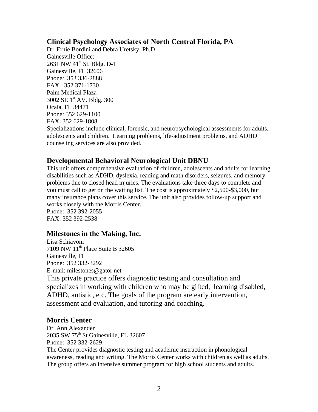#### **Clinical Psychology Associates of North Central Florida, PA**

Dr. Ernie Bordini and Debra Uretsky, Ph.D Gainesville Office: 2631 NW 41<sup>st</sup> St. Bldg. D-1 Gainesville, FL 32606 Phone: 353 336-2888 FAX: 352 371-1730 Palm Medical Plaza 3002 SE 1<sup>st</sup> AV. Bldg. 300 Ocala, FL 34471 Phone: 352 629-1100 FAX: 352 629-1808 Specializations include clinical, forensic, and neuropsychological assessments for adults, adolescents and children. Learning problems, life-adjustment problems, and ADHD counseling services are also provided.

# **Developmental Behavioral Neurological Unit DBNU**

This unit offers comprehensive evaluation of children, adolescents and adults for learning disabilities such as ADHD, dyslexia, reading and math disorders, seizures, and memory problems due to closed head injuries. The evaluations take three days to complete and you must call to get on the waiting list. The cost is approximately \$2,500-\$3,000, but many insurance plans cover this service. The unit also provides follow-up support and works closely with the Morris Center.

Phone: 352 392-2055 FAX: 352 392-2538

# **Milestones in the Making, Inc.**

Lisa Schiavoni 7109 NW 11<sup>th</sup> Place Suite B 32605 Gainesville, FL Phone: 352 332-3292 E-mail: milestones@gator.net This private practice offers diagnostic testing and consultation and specializes in working with children who may be gifted, learning disabled, ADHD, autistic, etc. The goals of the program are early intervention, assessment and evaluation, and tutoring and coaching.

# **Morris Center**

Dr. Ann Alexander 2035 SW 75<sup>th</sup> St Gainesville, FL 32607 Phone: 352 332-2629 The Center provides diagnostic testing and academic instruction in phonological awareness, reading and writing. The Morris Center works with children as well as adults. The group offers an intensive summer program for high school students and adults.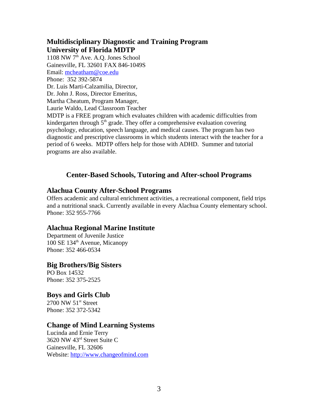## **Multidisciplinary Diagnostic and Training Program University of Florida MDTP**

1108 NW  $7<sup>th</sup>$  Ave. A.O. Jones School Gainesville, FL 32601 FAX 846-1049S Email: mcheatham@coe.edu Phone: 352 392-5874 Dr. Luis Marti-Calzamilia, Director, Dr. John J. Ross, Director Emeritus, Martha Cheatum, Program Manager, Laurie Waldo, Lead Classroom Teacher MDTP is a FREE program which evaluates children with academic difficulties from

kindergarten through  $5<sup>th</sup>$  grade. They offer a comprehensive evaluation covering psychology, education, speech language, and medical causes. The program has two diagnostic and prescriptive classrooms in which students interact with the teacher for a period of 6 weeks. MDTP offers help for those with ADHD. Summer and tutorial programs are also available.

# **Center-Based Schools, Tutoring and After-school Programs**

#### **Alachua County After-School Programs**

Offers academic and cultural enrichment activities, a recreational component, field trips and a nutritional snack. Currently available in every Alachua County elementary school. Phone: 352 955-7766

# **Alachua Regional Marine Institute**

Department of Juvenile Justice 100 SE 134<sup>th</sup> Avenue, Micanopy Phone: 352 466-0534

#### **Big Brothers/Big Sisters**

PO Box 14532 Phone: 352 375-2525

#### **Boys and Girls Club**

 $2700$  NW  $51<sup>st</sup>$  Street Phone: 352 372-5342

#### **Change of Mind Learning Systems**

Lucinda and Ernie Terry 3620 NW 43rd Street Suite C Gainesville, FL 32606 Website: http://www.changeofmind.com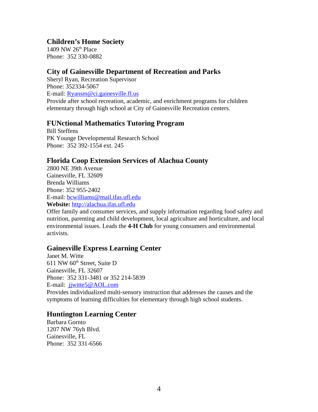#### **Children's Home Society**

1409 NW  $26<sup>th</sup>$  Place Phone: 352 330-0882

#### **City of Gainesville Department of Recreation and Parks**

Sheryl Ryan, Recreation Supervisor Phone: 352334-5067 E-mail: Ryansm@ci.gainesville.fl.us Provide after school recreation, academic, and enrichment programs for children elementary through high school at City of Gainesville Recreation centers.

#### **FUNctional Mathematics Tutoring Program**

Bill Steffens PK Younge Developmental Research School Phone: 352 392-1554 ext. 245

#### **Florida Coop Extension Services of Alachua County**

2800 NE 39th Avenue Gainesville, FL 32609 Brenda Williams Phone: 352 955-2402 E-mail: bcwilliams@mail.ifas.ufl.edu **Website:** http://alachua.ifas.ufl.edu

Offer family and consumer services, and supply information regarding food safety and nutrition, parenting and child development, local agriculture and horticulture, and local environmental issues. Leads the **4-H Club** for young consumers and environmental activists.

#### **Gainesville Express Learning Center**

Janet M. Witte  $611$  NW  $60<sup>th</sup>$  Street, Suite D Gainesville, FL 32607 Phone: 352 331-3481 or 352 214-5839 E-mail: jjwitte5@AOL.com

Provides individualized multi-sensory instruction that addresses the causes and the symptoms of learning difficulties for elementary through high school students.

# **Huntington Learning Center**

Barbara Gornto 1207 NW 76yh Blvd. Gainesville, FL Phone: 352 331-6566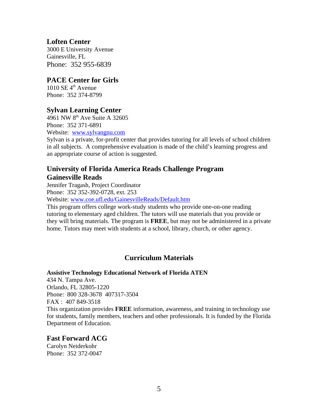## **Loften Center**

3000 E University Avenue Gainesville, FL Phone: 352 955-6839

#### **PACE Center for Girls**

 $1010$  SE  $4^{\text{th}}$  Avenue Phone: 352 374-8799

#### **Sylvan Learning Center**

4961 NW 8<sup>th</sup> Ave Suite A 32605 Phone: 352 371-6891 Website: www.sylvangnu.com

Sylvan is a private, for-profit center that provides tutoring for all levels of school children in all subjects. A comprehensive evaluation is made of the child's learning progress and an appropriate course of action is suggested.

## **University of Florida America Reads Challenge Program Gainesville Reads**

Jennifer Tragash, Project Coordinator Phone: 352 352-392-0728, ext. 253

Website: www.coe.ufl.edu/GainesvilleReads/Default.htm

This program offers college work-study students who provide one-on-one reading tutoring to elementary aged children. The tutors will use materials that you provide or they will bring materials. The program is **FREE**, but may not be administered in a private home. Tutors may meet with students at a school, library, church, or other agency.

# **Curriculum Materials**

#### **Assistive Technology Educational Network of Florida ATEN**

434 N. Tampa Ave. Orlando, FL 32805-1220 Phone: 800 328-3678 407317-3504 FAX : 407 849-3518 This organization provides **FREE** information, awareness, and training in technology use for students, family members, teachers and other professionals. It is funded by the Florida Department of Education.

# **Fast Forward ACG**

Carolyn Neiderkohr Phone: 352 372-0047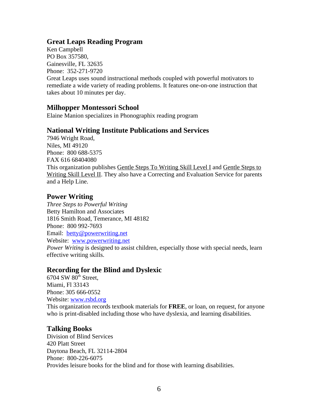#### **Great Leaps Reading Program**

Ken Campbell PO Box 357580, Gainesville, FL 32635 Phone: 352-271-9720

Great Leaps uses sound instructional methods coupled with powerful motivators to remediate a wide variety of reading problems. It features one-on-one instruction that takes about 10 minutes per day.

#### **Milhopper Montessori School**

Elaine Manion specializes in Phonographix reading program

#### **National Writing Institute Publications and Services**

7946 Wright Road, Niles, MI 49120 Phone: 800 688-5375 FAX 616 68404080 This organization publishes Gentle Steps To Writing Skill Level I and Gentle Steps to Writing Skill Level II. They also have a Correcting and Evaluation Service for parents and a Help Line.

#### **Power Writing**

*Three Steps to Powerful Writing* Betty Hamilton and Associates 1816 Smith Road, Temerance, MI 48182 Phone: 800 992-7693 Email: betty@powerwriting.net Website: www.powerwriting.net *Power Writing* is designed to assist children, especially those with special needs, learn effective writing skills.

#### **Recording for the Blind and Dyslexic**

 $6704$  SW  $80<sup>th</sup>$  Street, Miami, Fl 33143 Phone: 305 666-0552 Website: www.rsbd.org

This organization records textbook materials for **FREE**, or loan, on request, for anyone who is print-disabled including those who have dyslexia, and learning disabilities.

#### **Talking Books**

Division of Blind Services 420 Platt Street Daytona Beach, FL 32114-2804 Phone: 800-226-6075 Provides leisure books for the blind and for those with learning disabilities.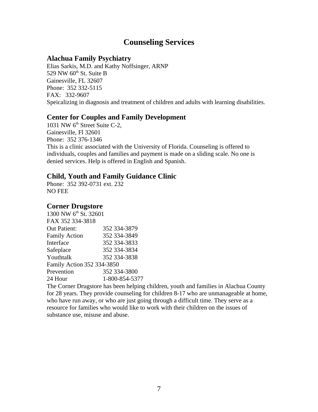# **Counseling Services**

#### **Alachua Family Psychiatry**

Elias Sarkis, M.D. and Kathy Noffsinger, ARNP 529 NW  $60<sup>th</sup>$  St. Suite B Gainesville, FL 32607 Phone: 352 332-5115 FAX: 332-9607 Speicalizing in diagnosis and treatment of children and adults with learning disabilities.

#### **Center for Couples and Family Development**

1031 NW 6<sup>th</sup> Street Suite C-2. Gainesville, Fl 32601 Phone: 352 376-1346 This is a clinic associated with the University of Florida. Counseling is offered to individuals, couples and families and payment is made on a sliding scale. No one is denied services. Help is offered in English and Spanish.

#### **Child, Youth and Family Guidance Clinic**

Phone: 352 392-0731 ext. 232 NO FEE

#### **Corner Drugstore**

| 1300 NW 6 <sup>th</sup> St. 32601 |                |
|-----------------------------------|----------------|
| FAX 352 334-3818                  |                |
| <b>Out Patient:</b>               | 352 334-3879   |
| <b>Family Action</b>              | 352 334-3849   |
| Interface                         | 352 334-3833   |
| Safeplace                         | 352 334-3834   |
| Youthtalk                         | 352 334-3838   |
| Family Action 352 334-3850        |                |
| Prevention                        | 352 334-3800   |
| 24 Hour                           | 1-800-854-5377 |

The Corner Drugstore has been helping children, youth and families in Alachua County for 28 years. They provide counseling for children 8-17 who are unmanageable at home, who have run away, or who are just going through a difficult time. They serve as a resource for families who would like to work with their children on the issues of substance use, misuse and abuse.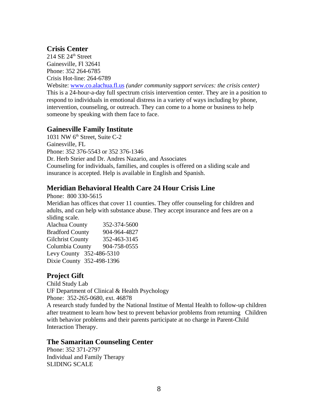# **Crisis Center**

 $214$  SE  $24^{\text{th}}$  Street Gainesville, Fl 32641 Phone: 352 264-6785 Crisis Hot-line: 264-6789

Website: www.co.alachua.fl.us *(under community support services: the crisis center)* This is a 24-hour-a-day full spectrum crisis intervention center. They are in a position to respond to individuals in emotional distress in a variety of ways including by phone, intervention, counseling, or outreach. They can come to a home or business to help someone by speaking with them face to face.

#### **Gainesville Family Institute**

1031 NW 6<sup>th</sup> Street, Suite C-2 Gainesville, FL Phone: 352 376-5543 or 352 376-1346 Dr. Herb Steier and Dr. Andres Nazario, and Associates Counseling for individuals, families, and couples is offered on a sliding scale and insurance is accepted. Help is available in English and Spanish.

# **Meridian Behavioral Health Care 24 Hour Crisis Line**

Phone: 800 330-5615 Meridian has offices that cover 11 counties. They offer counseling for children and adults, and can help with substance abuse. They accept insurance and fees are on a sliding scale.

Alachua County 352-374-5600 Bradford County 904-964-4827 Gilchrist County 352-463-3145 Columbia County 904-758-0555 Levy County 352-486-5310 Dixie County 352-498-1396

# **Project Gift**

Child Study Lab UF Department of Clinical & Health Psychology Phone: 352-265-0680, ext. 46878

A research study funded by the National Institue of Mental Health to follow-up children after treatment to learn how best to prevent behavior problems from returning Children with behavior problems and their parents participate at no charge in Parent-Child Interaction Therapy.

#### **The Samaritan Counseling Center**

Phone: 352 371-2797 Individual and Family Therapy SLIDING SCALE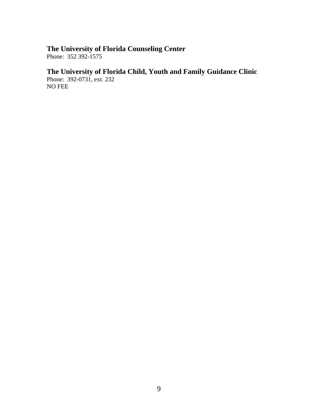# **The University of Florida Counseling Center**

Phone: 352 392-1575

# **The University of Florida Child, Youth and Family Guidance Clinic**

Phone: 392-0731, ext. 232 NO FEE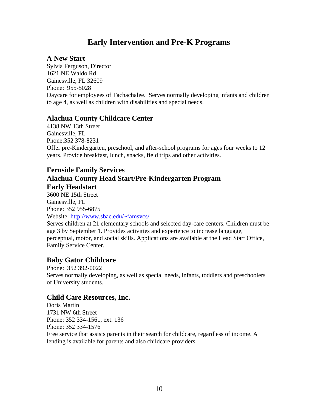# **Early Intervention and Pre-K Programs**

#### **A New Start**

Sylvia Ferguson, Director 1621 NE Waldo Rd Gainesville, FL 32609 Phone: 955-5028 Daycare for employees of Tachachalee. Serves normally developing infants and children to age 4, as well as children with disabilities and special needs.

#### **Alachua County Childcare Center**

4138 NW 13th Street Gainesville, FL Phone:352 378-8231 Offer pre-Kindergarten, preschool, and after-school programs for ages four weeks to 12 years. Provide breakfast, lunch, snacks, field trips and other activities.

# **Fernside Family Services Alachua County Head Start/Pre-Kindergarten Program Early Headstart**

3600 NE 15th Street Gainesville, FL Phone: 352 955-6875 Website: http://www.sbac.edu/~famsvcs/ Serves children at 21 elementary schools and selected day-care centers. Children must be age 3 by September 1. Provides activities and experience to increase language, perceptual, motor, and social skills. Applications are available at the Head Start Office, Family Service Center.

# **Baby Gator Childcare**

Phone: 352 392-0022 Serves normally developing, as well as special needs, infants, toddlers and preschoolers of University students.

#### **Child Care Resources, Inc.**

Doris Martin 1731 NW 6th Street Phone: 352 334-1561, ext. 136 Phone: 352 334-1576 Free service that assists parents in their search for childcare, regardless of income. A lending is available for parents and also childcare providers.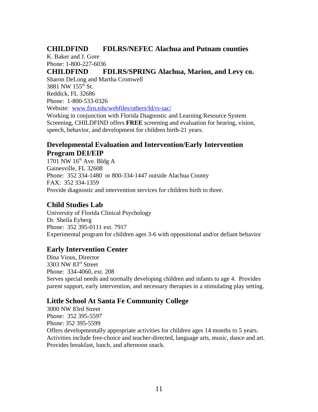# **CHILDFIND FDLRS/NEFEC Alachua and Putnam counties**

K. Baker and J. Gore Phone: 1-800-227-6036

**CHILDFIND FDLRS/SPRING Alachua, Marion, and Levy co.** Sharon DeLong and Martha Cromwell 3881 NW  $155^{th}$  St. Reddick, FL 32686 Phone: 1-800-533-0326 Website: www.firn.edu/webfiles/others/fd/rs-sac/

Working in conjunction with Florida Diagnostic and Learning Resource System Screening, CHILDFIND offers **FREE** screening and evaluation for hearing, vision, speech, behavior, and development for children birth-21 years.

## **Developmental Evaluation and Intervention/Early Intervention Program DEI/EIP**

1701 NW  $16<sup>th</sup>$  Ave. Bldg A Gainesville, FL 32608 Phone: 352 334-1480 or 800-334-1447 outside Alachua County FAX: 352 334-1359 Provide diagnostic and intervention services for children birth to three.

# **Child Studies Lab**

University of Florida Clinical Psychology Dr. Sheila Eyberg Phone: 352 395-0111 ext. 7917 Experimental program for children ages 3-6 with oppositional and/or defiant behavior

# **Early Intervention Center**

Dina Vious, Director 3303 NW 83rd Street Phone: 334-4060, ext. 208 Serves special needs and normally developing children and infants to age 4. Provides parent support, early intervention, and necessary therapies in a stimulating play setting.

# **Little School At Santa Fe Community College**

3000 NW 83rd Street Phone: 352 395-5597 Phone: 352 395-5599 Offers developmentally appropriate activities for children ages 14 months to 5 years. Activities include free-choice and teacher-directed, language arts, music, dance and art. Provides breakfast, lunch, and afternoon snack.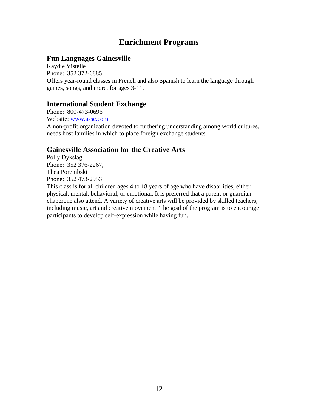# **Enrichment Programs**

#### **Fun Languages Gainesville**

Kaydie Vistelle Phone: 352 372-6885 Offers year-round classes in French and also Spanish to learn the language through games, songs, and more, for ages 3-11.

#### **International Student Exchange**

Phone: 800-473-0696 Website: www.asse.com A non-profit organization devoted to furthering understanding among world cultures, needs host families in which to place foreign exchange students.

# **Gainesville Association for the Creative Arts**

Polly Dykslag Phone: 352 376-2267, Thea Porembski Phone: 352 473-2953

This class is for all children ages 4 to 18 years of age who have disabilities, either physical, mental, behavioral, or emotional. It is preferred that a parent or guardian chaperone also attend. A variety of creative arts will be provided by skilled teachers, including music, art and creative movement. The goal of the program is to encourage participants to develop self-expression while having fun.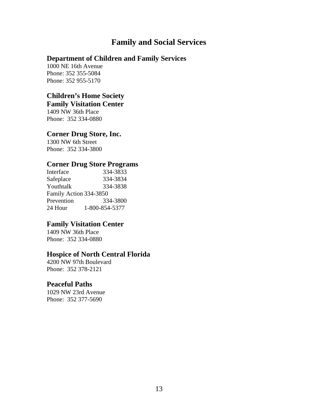# **Family and Social Services**

# **Department of Children and Family Services**

1000 NE 16th Avenue Phone: 352 355-5084 Phone: 352 955-5170

# **Children's Home Society**

# **Family Visitation Center**

1409 NW 36th Place Phone: 352 334-0880

#### **Corner Drug Store, Inc.**

1300 NW 6th Street Phone: 352 334-3800

#### **Corner Drug Store Programs**

| Interface              | 334-3833       |  |
|------------------------|----------------|--|
| Safeplace              | 334-3834       |  |
| Youthtalk              | 334-3838       |  |
| Family Action 334-3850 |                |  |
| Prevention             | 334-3800       |  |
| 24 Hour                | 1-800-854-5377 |  |

# **Family Visitation Center**

1409 NW 36th Place Phone: 352 334-0880

#### **Hospice of North Central Florida**

4200 NW 97th Boulevard Phone: 352 378-2121

#### **Peaceful Paths**

1029 NW 23rd Avenue Phone: 352 377-5690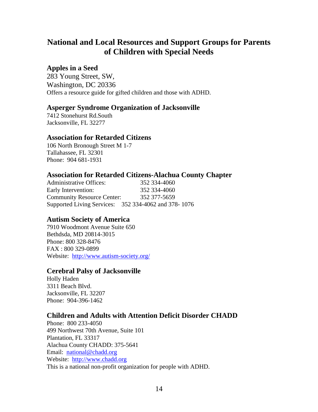# **National and Local Resources and Support Groups for Parents of Children with Special Needs**

#### **Apples in a Seed**

283 Young Street, SW, Washington, DC 20336 Offers a resource guide for gifted children and those with ADHD.

#### **Asperger Syndrome Organization of Jacksonville**

7412 Stonehurst Rd.South Jacksonville, FL 32277

#### **Association for Retarded Citizens**

106 North Bronough Street M 1-7 Tallahassee, FL 32301 Phone: 904 681-1931

#### **Association for Retarded Citizens-Alachua County Chapter**

Administrative Offices: 352 334-4060 Early Intervention: 352 334-4060 Community Resource Center: 352 377-5659 Supported Living Services: 352 334-4062 and 378- 1076

# **Autism Society of America**

7910 Woodmont Avenue Suite 650 Bethdsda, MD 20814-3015 Phone: 800 328-8476 FAX : 800 329-0899 Website: http://www.autism-society.org/

#### **Cerebral Palsy of Jacksonville**

Holly Haden 3311 Beach Blvd. Jacksonville, FL 32207 Phone: 904-396-1462

# **Children and Adults with Attention Deficit Disorder CHADD**

Phone: 800 233-4050 499 Northwest 70th Avenue, Suite 101 Plantation, FL 33317 Alachua County CHADD: 375-5641 Email: national@chadd.org Website: http://www.chadd.org This is a national non-profit organization for people with ADHD.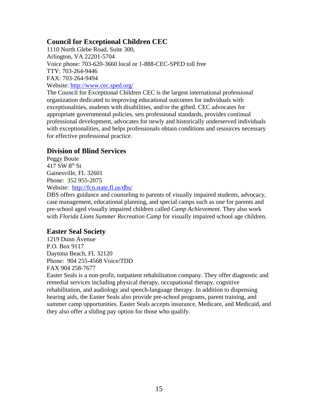# **Council for Exceptional Children CEC**

1110 North Glebe Road, Suite 300, Arlington, VA 22201-5704 Voice phone: 703-620-3660 local or 1-888-CEC-SPED toll free TTY: 703-264-9446 FAX: 703-264-9494 Website: http://www.cec.sped.org/

The Council for Exceptional Children CEC is the largest international professional organization dedicated to improving educational outcomes for individuals with exceptionalities, students with disabilities, and/or the gifted. CEC advocates for appropriate governmental policies, sets professional standards, provides continual professional development, advocates for newly and historically underserved individuals with exceptionalities, and helps professionals obtain conditions and resources necessary for effective professional practice.

# **Division of Blind Services**

Peggy Bouie  $417$  SW  $8^{\text{th}}$  St Gainesville, FL 32601 Phone: 352 955-2075 Website: http://fcn.state.fl.us/dbs/

DBS offers guidance and counseling to parents of visually impaired students, advocacy, case management, educational planning, and special camps such as one for parents and pre-school aged visually impaired children called *Camp Achievement*. They also work with *Florida Lions Summer Recreation Camp* for visually impaired school age children.

# **Easter Seal Society**

1219 Dunn Avenue P.O. Box 9117 Daytona Beach, FL 32120 Phone: 904 255-4568 Voice/TDD FAX 904 258-7677

Easter Seals is a non-profit, outpatient rehabilitation company. They offer diagnostic and remedial services including physical therapy, occupational therapy, cognitive rehabilitation, and audiology and speech-language therapy. In addition to dispensing hearing aids, the Easter Seals also provide pre-school programs, parent training, and summer camp opportunities. Easter Seals accepts insurance, Medicare, and Medicaid, and they also offer a sliding pay option for those who qualify.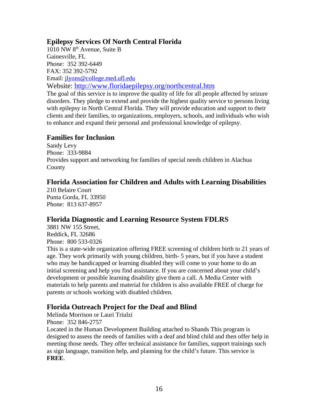# **Epilepsy Services Of North Central Florida**

1010 NW 8th Avenue, Suite B Gainesville, FL Phone: 352 392-6449 FAX: 352 392-5792 Email: jlyons@college.med.ufl.edu Website: http://www.floridaepilepsy.org/northcentral.htm

The goal of this service is to improve the quality of life for all people affected by seizure disorders. They pledge to extend and provide the highest quality service to persons living with epilepsy in North Central Florida. They will provide education and support to their clients and their families, to organizations, employers, schools, and individuals who wish to enhance and expand their personal and professional knowledge of epilepsy.

#### **Families for Inclusion**

Sandy Levy Phone: 333-9884 Provides support and networking for families of special needs children in Alachua County

# **Florida Association for Children and Adults with Learning Disabilities**

210 Belaire Court Punta Gorda, FL 33950 Phone: 813 637-8957

# **Florida Diagnostic and Learning Resource System FDLRS**

3881 NW 155 Street, Reddick, FL 32686 Phone: 800 533-0326

This is a state-wide organization offering FREE screening of children birth to 21 years of age. They work primarily with young children, birth- 5 years, but if you have a student who may be handicapped or learning disabled they will come to your home to do an initial screening and help you find assistance. If you are concerned about your child's development or possible learning disability give them a call. A Media Center with materials to help parents and material for children is also available FREE of charge for parents or schools working with disabled children.

# **Florida Outreach Project for the Deaf and Blind**

Melinda Morrison or Lauri Triulzi

Phone: 352 846-2757

Located in the Human Development Building attached to Shands This program is designed to assess the needs of families with a deaf and blind child and then offer help in meeting those needs. They offer technical assistance for families, support trainings such as sign language, transition help, and planning for the child's future. This service is **FREE**.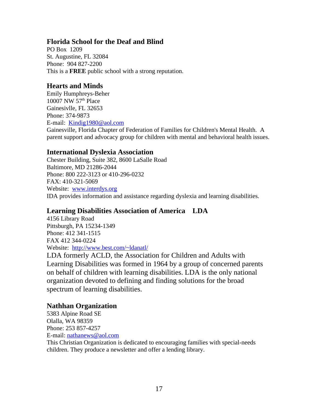#### **Florida School for the Deaf and Blind**

PO Box 1209 St. Augustine, FL 32084 Phone: 904 827-2200 This is a **FREE** public school with a strong reputation.

## **Hearts and Minds**

Emily Humphreys-Beher 10007 NW  $57<sup>th</sup>$  Place Gainesivlle, FL 32653 Phone: 374-9873 E-mail: Kindig1980@aol.com

Gainesville, Florida Chapter of Federation of Families for Children's Mental Health. A parent support and advocacy group for children with mental and behavioral health issues.

# **International Dyslexia Association**

Chester Building, Suite 382, 8600 LaSalle Road Baltimore, MD 21286-2044 Phone: 800 222-3123 or 410-296-0232 FAX: 410-321-5069 Website: www.interdys.org IDA provides information and assistance regarding dyslexia and learning disabilities.

# **Learning Disabilities Association of America LDA**

4156 Library Road Pittsburgh, PA 15234-1349 Phone: 412 341-1515 FAX 412 344-0224 Website: http://www.best.com/~ldanatl/

LDA formerly ACLD, the Association for Children and Adults with Learning Disabilities was formed in 1964 by a group of concerned parents on behalf of children with learning disabilities. LDA is the only national organization devoted to defining and finding solutions for the broad spectrum of learning disabilities.

# **Nathhan Organization**

5383 Alpine Road SE Olalla, WA 98359 Phone: 253 857-4257 E-mail: nathanews@aol.com

This Christian Organization is dedicated to encouraging families with special-needs children. They produce a newsletter and offer a lending library.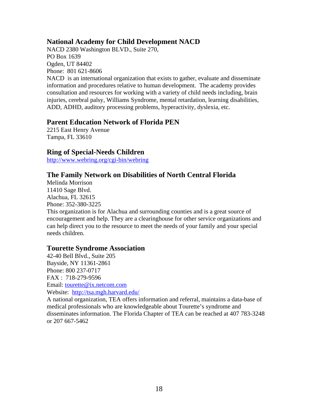## **National Academy for Child Development NACD**

NACD 2380 Washington BLVD., Suite 270, PO Box 1639 Ogden, UT 84402 Phone: 801 621-8606

NACD is an international organization that exists to gather, evaluate and disseminate information and procedures relative to human development. The academy provides consultation and resources for working with a variety of child needs including, brain injuries, cerebral palsy, Williams Syndrome, mental retardation, learning disabilities, ADD, ADHD, auditory processing problems, hyperactivity, dyslexia, etc.

#### **Parent Education Network of Florida PEN**

2215 East Henry Avenue Tampa, FL 33610

#### **Ring of Special-Needs Children**

http://www.webring.org/cgi-bin/webring

#### **The Family Network on Disabilities of North Central Florida**

Melinda Morrison 11410 Sage Blvd. Alachua, FL 32615 Phone: 352-380-3225 This organization is for Alachua and surrounding counties and is a great source of encouragement and help. They are a clearinghouse for other service organizations and can help direct you to the resource to meet the needs of your family and your special needs children.

#### **Tourette Syndrome Association**

42-40 Bell Blvd., Suite 205 Bayside, NY 11361-2861 Phone: 800 237-0717 FAX : 718-279-9596 Email: tourette@ix.netcom.com Website: http://tsa.mgh.harvard.edu/

A national organization, TEA offers information and referral, maintains a data-base of medical professionals who are knowledgeable about Tourette's syndrome and disseminates information. The Florida Chapter of TEA can be reached at 407 783-3248 or 207 667-5462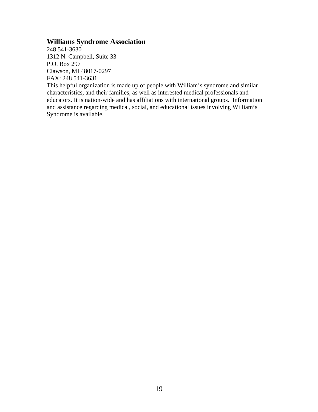#### **Williams Syndrome Association**

248 541-3630 1312 N. Campbell, Suite 33 P.O. Box 297 Clawson, MI 48017-0297 FAX: 248 541-3631

This helpful organization is made up of people with William's syndrome and similar characteristics, and their families, as well as interested medical professionals and educators. It is nation-wide and has affiliations with international groups. Information and assistance regarding medical, social, and educational issues involving William's Syndrome is available.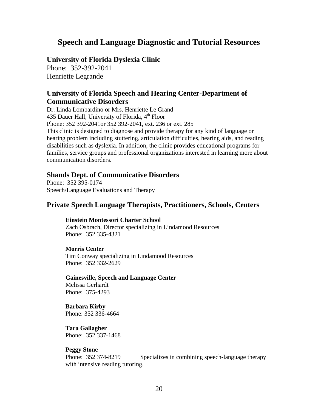# **Speech and Language Diagnostic and Tutorial Resources**

#### **University of Florida Dyslexia Clinic**

Phone: 352-392-2041 Henriette Legrande

#### **University of Florida Speech and Hearing Center-Department of Communicative Disorders**

Dr. Linda Lombardino or Mrs. Henriette Le Grand 435 Dauer Hall, University of Florida,  $4<sup>th</sup>$  Floor Phone: 352 392-2041or 352 392-2041, ext. 236 or ext. 285 This clinic is designed to diagnose and provide therapy for any kind of language or hearing problem including stuttering, articulation difficulties, hearing aids, and reading disabilities such as dyslexia. In addition, the clinic provides educational programs for families, service groups and professional organizations interested in learning more about communication disorders.

#### **Shands Dept. of Communicative Disorders**

Phone: 352 395-0174 Speech/Language Evaluations and Therapy

#### **Private Speech Language Therapists, Practitioners, Schools, Centers**

#### **Einstein Montessori Charter School**

Zach Osbrach, Director specializing in Lindamood Resources Phone: 352 335-4321

#### **Morris Center**

Tim Conway specializing in Lindamood Resources Phone: 352 332-2629

**Gainesville, Speech and Language Center** Melissa Gerhardt Phone: 375-4293

**Barbara Kirby** Phone: 352 336-4664

**Tara Gallagher** Phone: 352 337-1468

#### **Peggy Stone**

Phone: 352 374-8219 Specializes in combining speech-language therapy with intensive reading tutoring.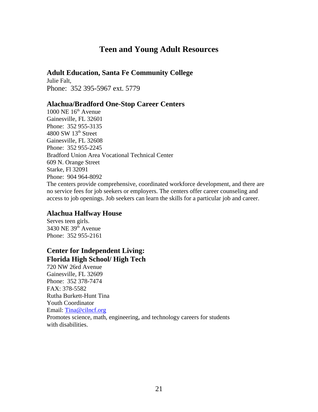# **Teen and Young Adult Resources**

#### **Adult Education, Santa Fe Community College**

Julie Falt, Phone: 352 395-5967 ext. 5779

#### **Alachua/Bradford One-Stop Career Centers**

 $1000$  NE  $16<sup>th</sup>$  Avenue Gainesville, FL 32601 Phone: 352 955-3135  $4800$  SW  $13<sup>th</sup>$  Street Gainesville, FL 32608 Phone: 352 955-2245 Bradford Union Area Vocational Technical Center 609 N. Orange Street Starke, Fl 32091 Phone: 904 964-8092 The centers provide comprehensive, coordinated workforce development, and there are no service fees for job seekers or employers. The centers offer career counseling and access to job openings. Job seekers can learn the skills for a particular job and career.

#### **Alachua Halfway House**

Serves teen girls.  $3430$  NE  $39<sup>th</sup>$  Avenue Phone: 352 955-2161

# **Center for Independent Living: Florida High School/ High Tech**

720 NW 26rd Avenue Gainesville, FL 32609 Phone: 352 378-7474 FAX: 378-5582 Rutha Burkett-Hunt Tina Youth Coordinator Email: Tina@cilncf.org Promotes science, math, engineering, and technology careers for students with disabilities.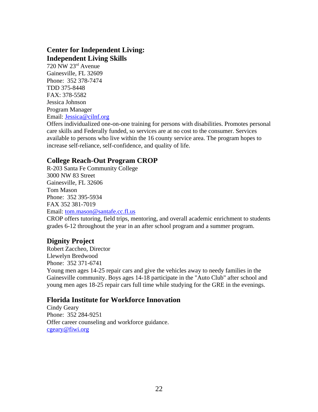# **Center for Independent Living: Independent Living Skills**

720 NW 23rd Avenue Gainesville, FL 32609 Phone: 352 378-7474 TDD 375-8448 FAX: 378-5582 Jessica Johnson Program Manager Email: Jessica@cilnf.org

Offers individualized one-on-one training for persons with disabilities. Promotes personal care skills and Federally funded, so services are at no cost to the consumer. Services available to persons who live within the 16 county service area. The program hopes to increase self-reliance, self-confidence, and quality of life.

# **College Reach-Out Program CROP**

R-203 Santa Fe Community College 3000 NW 83 Street Gainesville, FL 32606 Tom Mason Phone: 352 395-5934 FAX 352 381-7019 Email: tom.mason@santafe.cc.fl.us

CROP offers tutoring, field trips, mentoring, and overall academic enrichment to students grades 6-12 throughout the year in an after school program and a summer program.

# **Dignity Project**

Robert Zaccheo, Director Llewelyn Bredwood Phone: 352 371-6741 Young men ages 14-25 repair cars and give the vehicles away to needy families in the Gainesville community. Boys ages 14-18 participate in the "Auto Club" after school and young men ages 18-25 repair cars full time while studying for the GRE in the evenings.

#### **Florida Institute for Workforce Innovation**

Cindy Geary Phone: 352 284-9251 Offer career counseling and workforce guidance. cgeary@fiwi.org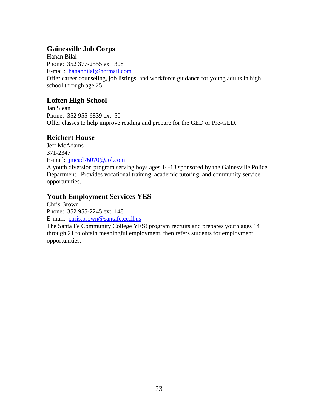# **Gainesville Job Corps**

Hanan Bilal Phone: 352 377-2555 ext. 308 E-mail: hananbilal@hotmail.com Offer career counseling, job listings, and workforce guidance for young adults in high school through age 25.

# **Loften High School**

Jan Slean Phone: 352 955-6839 ext. 50 Offer classes to help improve reading and prepare for the GED or Pre-GED.

# **Reichert House**

Jeff McAdams 371-2347 E-mail: jmcad76070@aol.com A youth diversion program serving boys ages 14-18 sponsored by the Gainesville Police Department. Provides vocational training, academic tutoring, and community service opportunities.

# **Youth Employment Services YES**

Chris Brown Phone: 352 955-2245 ext. 148 E-mail: chris.brown@santafe.cc.fl.us The Santa Fe Community College YES! program recruits and prepares youth ages 14 through 21 to obtain meaningful employment, then refers students for employment opportunities.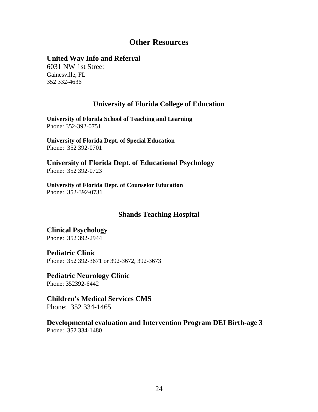# **Other Resources**

#### **United Way Info and Referral**

6031 NW 1st Street Gainesville, FL 352 332-4636

#### **University of Florida College of Education**

**University of Florida School of Teaching and Learning** Phone: 352-392-0751

**University of Florida Dept. of Special Education** Phone: 352 392-0701

**University of Florida Dept. of Educational Psychology** Phone: 352 392-0723

**University of Florida Dept. of Counselor Education** Phone: 352-392-0731

#### **Shands Teaching Hospital**

**Clinical Psychology** Phone: 352 392-2944

**Pediatric Clinic** Phone: 352 392-3671 or 392-3672, 392-3673

**Pediatric Neurology Clinic** Phone: 352392-6442

**Children's Medical Services CMS** Phone: 352 334-1465

**Developmental evaluation and Intervention Program DEI Birth-age 3** Phone: 352 334-1480